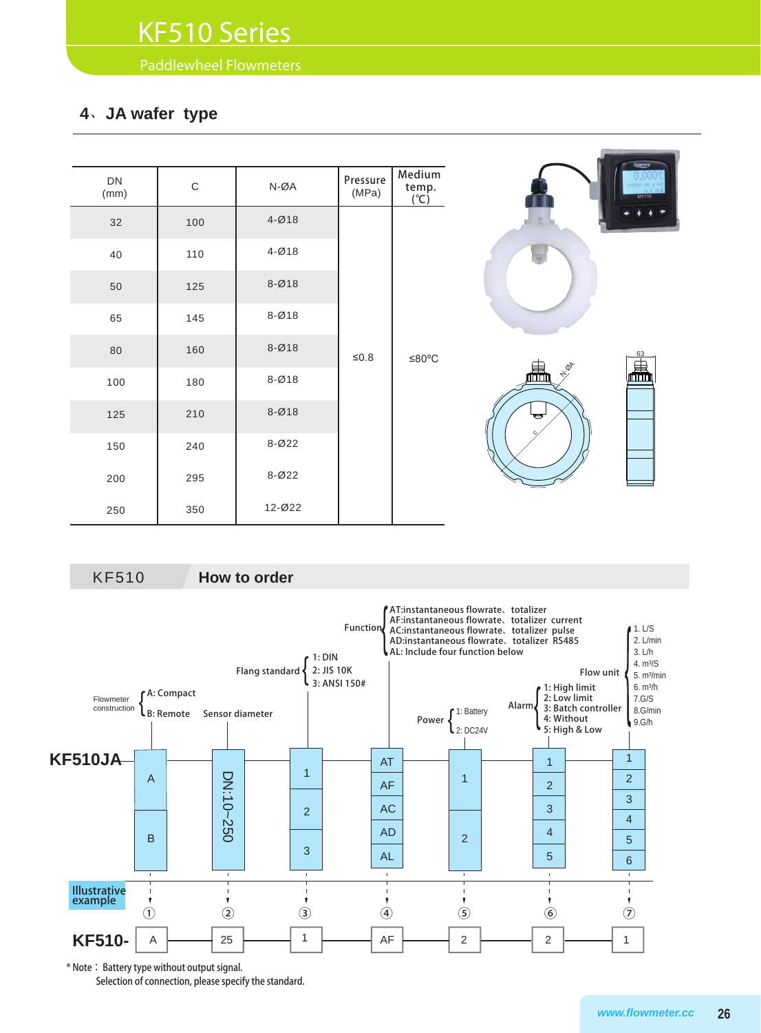Paddlewheel Flowmeters

### **4**、**JA wafer type**

| DN<br>(mm) | $\mathsf C$ | $N-\emptyset A$      | Pressure<br>(MPa) | Medium<br>temp.   | <b>Howrick</b><br><b>MF750</b> |
|------------|-------------|----------------------|-------------------|-------------------|--------------------------------|
| 32         | 100         | $4 - \varnothing 18$ |                   | $(^{\circ}C)$     |                                |
| 40         | 110         | $4 - Ø18$            |                   |                   |                                |
| 50         | 125         | $8 - Ø18$            |                   |                   |                                |
| 65         | 145         | $8 - Ø18$            |                   | $≤0.8$<br>$≤80°C$ |                                |
| 80         | 160         | $8 - Ø18$            |                   |                   | 63                             |
| 100        | 180         | $8 - Ø18$            |                   |                   | l.<br>NOR<br>畾                 |
| 125        | 210         | $8 - Ø18$            |                   |                   | ᇦ                              |
| 150        | 240         | $8 - 022$            |                   |                   |                                |
| 200        | 295         | $8 - 022$            |                   |                   |                                |
| 250        | 350         | 12-022               |                   |                   |                                |

KF510 **How to order**



Selection of connection, please specify the standard.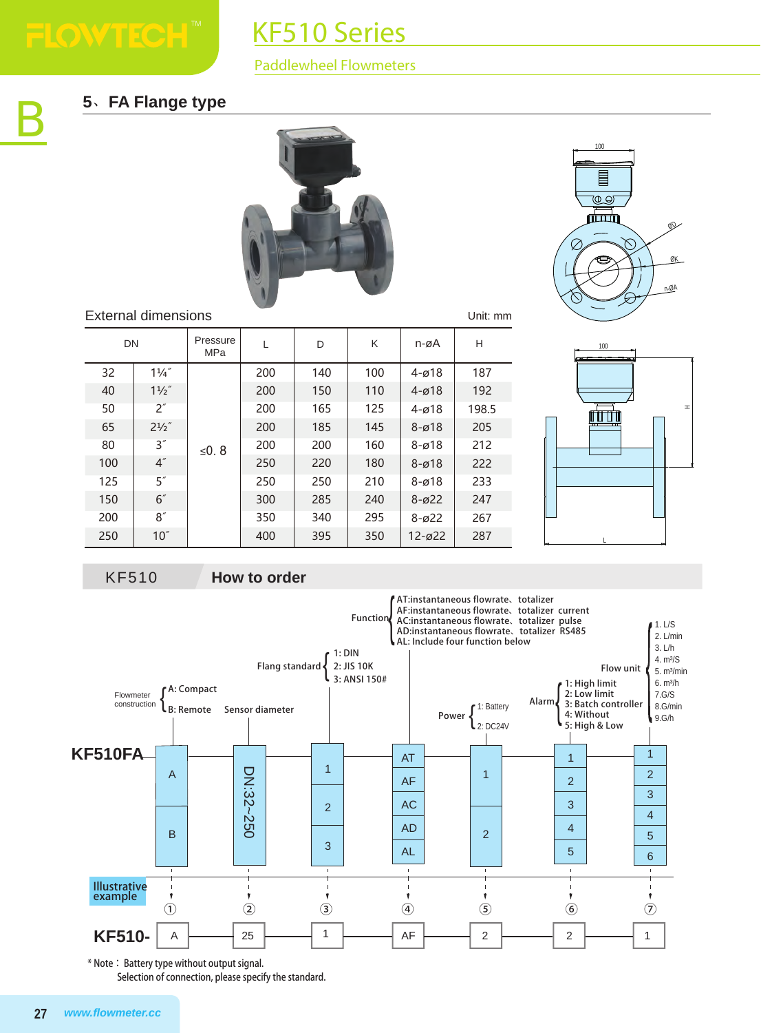# KF510 Series

#### Paddlewheel Flowmeters

## **5**、**FA Flange type**









#### External dimensions

| External dimensions<br>Unit: mm |                  |                 |     |     |     |            |       |  |
|---------------------------------|------------------|-----------------|-----|-----|-----|------------|-------|--|
| <b>DN</b>                       |                  | Pressure<br>MPa | L   | D   | Κ   | n-øA       | н     |  |
| 32                              | $1\frac{1}{4}$   |                 | 200 | 140 | 100 | $4 - 018$  | 187   |  |
| 40                              | $1\frac{1}{2}$   |                 | 200 | 150 | 110 | $4 - 018$  | 192   |  |
| 50                              | 2"               |                 | 200 | 165 | 125 | $4 - 018$  | 198.5 |  |
| 65                              | $2^{1/2}$        |                 | 200 | 185 | 145 | $8 - 018$  | 205   |  |
| 80                              | 3''              | ≤0.8            | 200 | 200 | 160 | $8 - 018$  | 212   |  |
| 100                             | $4^{''}$         |                 | 250 | 220 | 180 | $8 - 018$  | 222   |  |
| 125                             | 5''              |                 | 250 | 250 | 210 | $8 - 018$  | 233   |  |
| 150                             | 6''              |                 | 300 | 285 | 240 | $8 - 022$  | 247   |  |
| 200                             | 8''              |                 | 350 | 340 | 295 | $8 - 022$  | 267   |  |
| 250                             | 10 <sup>''</sup> |                 | 400 | 395 | 350 | $12 - 022$ | 287   |  |



\* Note: Battery type without output signal. Selection of connection, please specify the standard.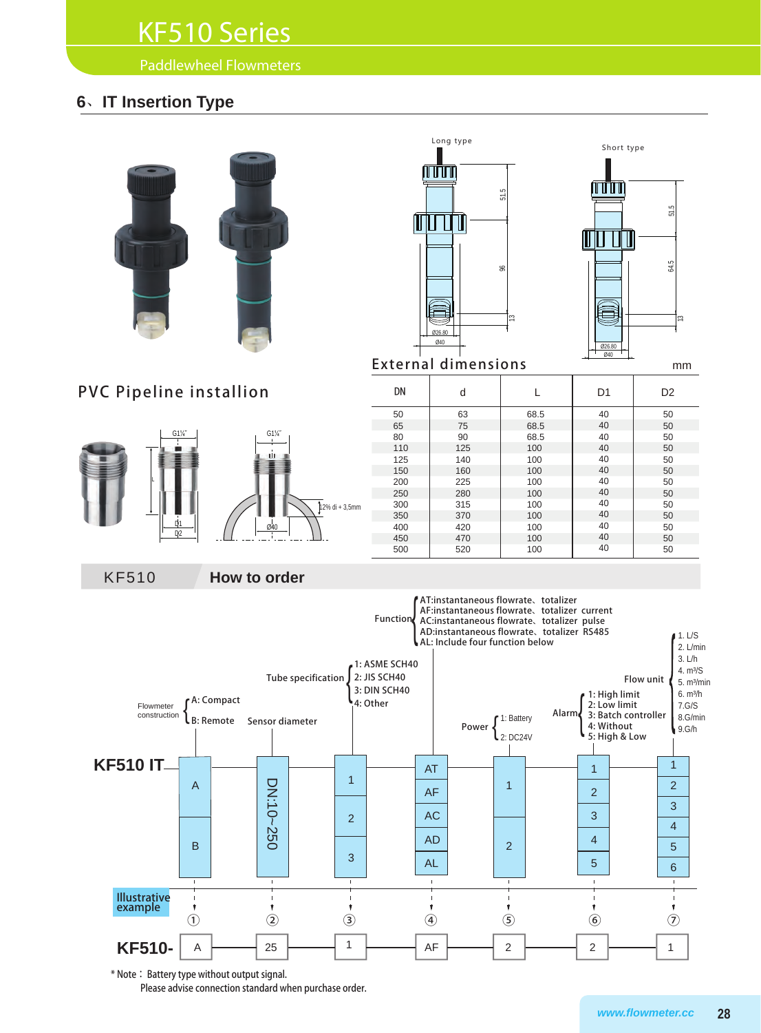## KF510 Series

Paddlewheel Flowmeters

## **6**、**IT Insertion Type**







External dimensions mm

## PVC Pipeline installion





| DN  | d   |      | D <sub>1</sub> | D <sub>2</sub> |
|-----|-----|------|----------------|----------------|
| 50  | 63  | 68.5 | 40             | 50             |
| 65  | 75  | 68.5 | 40             | 50             |
| 80  | 90  | 68.5 | 40             | 50             |
| 110 | 125 | 100  | 40             | 50             |
| 125 | 140 | 100  | 40             | 50             |
| 150 | 160 | 100  | 40             | 50             |
| 200 | 225 | 100  | 40             | 50             |
| 250 | 280 | 100  | 40             | 50             |
| 300 | 315 | 100  | 40             | 50             |
| 350 | 370 | 100  | 40             | 50             |
| 400 | 420 | 100  | 40             | 50             |
| 450 | 470 | 100  | 40             | 50             |
| 500 | 520 | 100  | 40             | 50             |

KF510 **How to order**



\* Note: Battery type without output signal. Please advise connection standard when purchase order.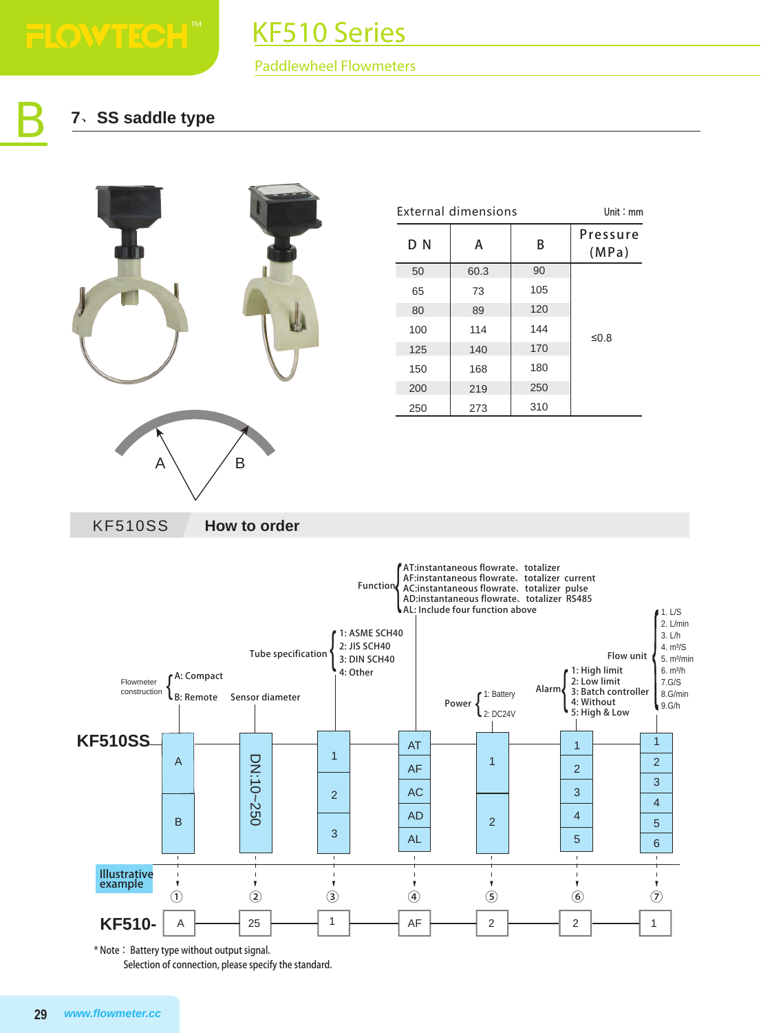B

# KF510 Series

#### Paddlewheel Flowmeters

## **7**、**SS saddle type**



|          | <b>External dimensions</b> |     | Unit: $mm$        |
|----------|----------------------------|-----|-------------------|
| D N<br>А |                            | B   | Pressure<br>(MPa) |
| 50       | 60.3                       | 90  |                   |
| 65       | 73                         | 105 |                   |
| 80       | 89                         | 120 |                   |
| 100      | 114                        | 144 | ≤ $0.8$           |
| 125      | 140                        | 170 |                   |
| 150      | 168                        | 180 |                   |
| 200      | 219                        | 250 |                   |
| 250      | 273                        | 310 |                   |





\* Note: Battery type without output signal.

Selection of connection, please specify the standard.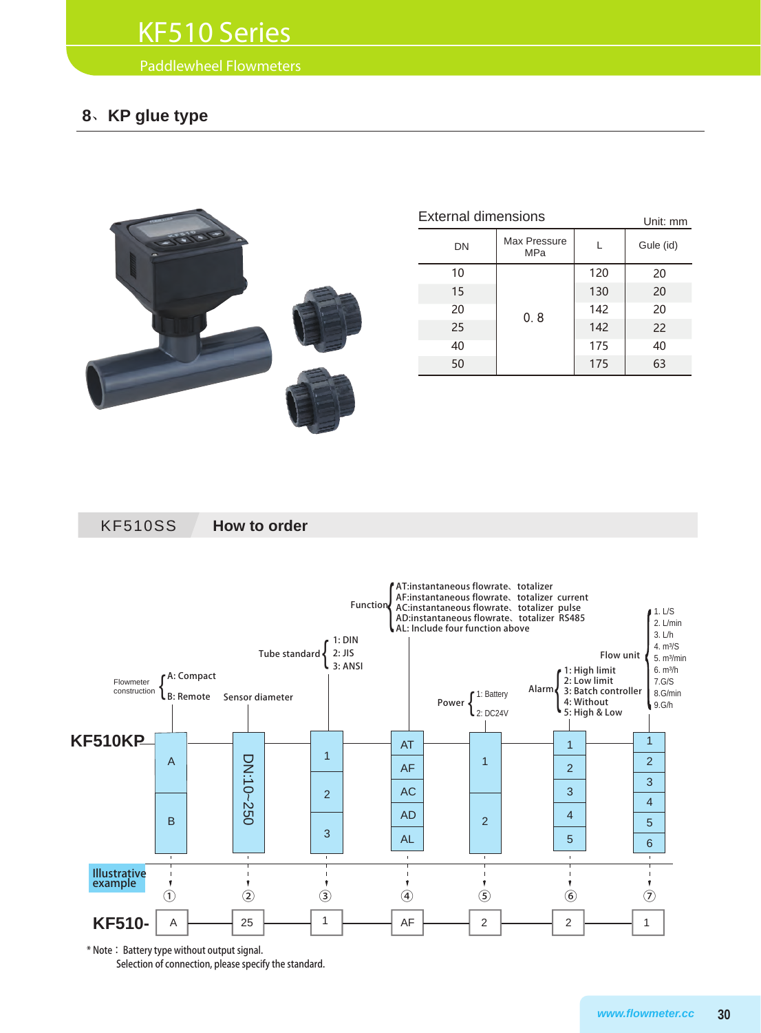## KF510 Series

Paddlewheel Flowmeters

## **8**、**KP glue type**



| <b>External dimensions</b> | Unit: mm                   |     |           |
|----------------------------|----------------------------|-----|-----------|
| DN                         | Max Pressure<br><b>MPa</b> |     | Gule (id) |
| 10                         |                            | 120 | 20        |
| 15                         |                            | 130 | 20        |
| 20                         | 0.8                        | 142 | 20        |
| 25                         |                            | 142 | 22        |
| 40                         |                            | 175 | 40        |
| 50                         |                            | 175 | 63        |

KF510SS **How to order**



\* Note: Battery type without output signal.

Selection of connection, please specify the standard.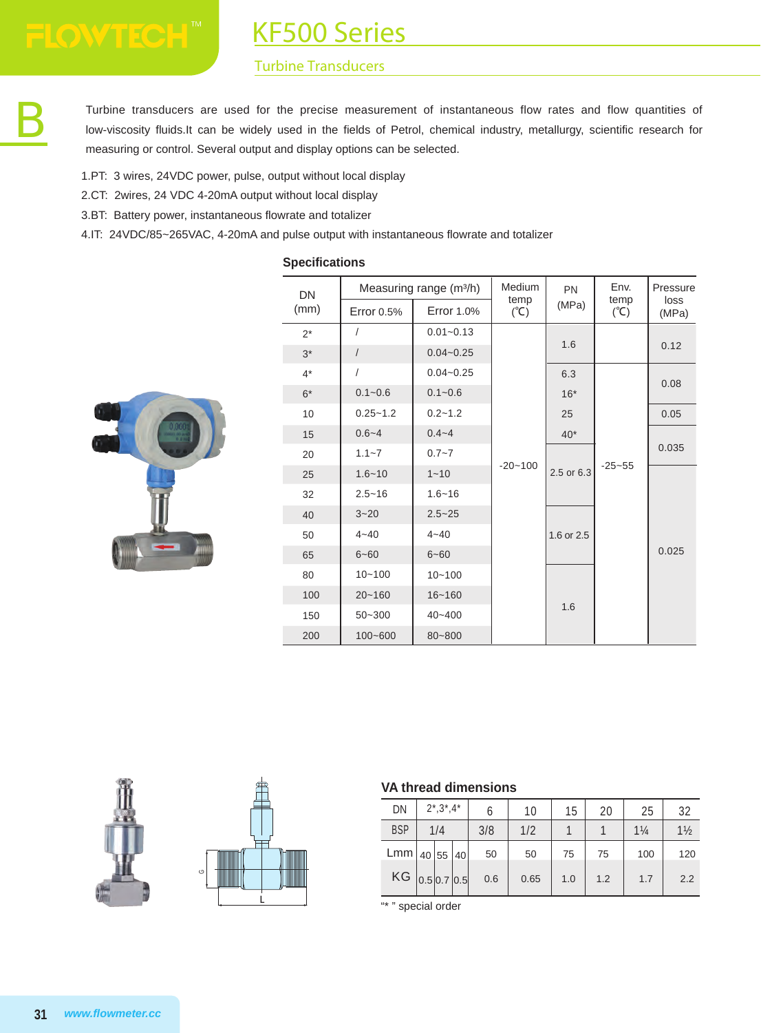KF500 Series

#### Turbine Transducers

Turbine transducers are used for the precise measurement of instantaneous flow rates and flow quantities of low-viscosity fluids.It can be widely used in the fields of Petrol, chemical industry, metallurgy, scientific research for measuring or control. Several output and display options can be selected.

- 1.PT: 3 wires, 24VDC power, pulse, output without local display
- 2.CT: 2wires, 24 VDC 4-20mA output without local display
- 3.BT: Battery power, instantaneous flowrate and totalizer
- 4.IT: 24VDC/85~265VAC, 4-20mA and pulse output with instantaneous flowrate and totalizer

#### **Specifications**



| DN    |                   | Measuring range (m <sup>3/h)</sup> | Medium<br>temp | <b>PN</b>  | Env.<br>temp    | Pressure<br>loss |
|-------|-------------------|------------------------------------|----------------|------------|-----------------|------------------|
| (mm)  | <b>Error 0.5%</b> | <b>Error 1.0%</b>                  | $(C^{\circ})$  | (MPa)      | $({}^{\circ}C)$ | (MPa)            |
| $2^*$ | $\prime$          | $0.01 - 0.13$                      |                |            |                 |                  |
| $3*$  | $\sqrt{2}$        | $0.04 - 0.25$                      |                | 1.6        |                 | 0.12             |
| $4^*$ | I                 | $0.04 - 0.25$                      |                | 6.3        |                 |                  |
| $6*$  | $0.1 - 0.6$       | $0.1 - 0.6$                        |                | $16*$      |                 | 0.08             |
| 10    | $0.25 - 1.2$      | $0.2 - 1.2$                        |                | 25         |                 | 0.05             |
| 15    | $0.6 - 4$         | $0.4 - 4$                          |                | $40*$      |                 |                  |
| 20    | $1.1 - 7$         | $0.7 - 7$                          |                |            |                 | 0.035            |
| 25    | $1.6 - 10$        | $1 - 10$                           | $-20 - 100$    | 2.5 or 6.3 | $-25 - 55$      |                  |
| 32    | $2.5 - 16$        | $1.6 - 16$                         |                |            |                 |                  |
| 40    | $3 - 20$          | $2.5 - 25$                         |                |            |                 |                  |
| 50    | $4 - 40$          | $4 - 40$                           |                | 1.6 or 2.5 |                 |                  |
| 65    | $6 - 60$          | $6 - 60$                           |                |            |                 | 0.025            |
| 80    | $10 - 100$        | $10 - 100$                         |                |            |                 |                  |
| 100   | $20 - 160$        | $16 - 160$                         |                |            |                 |                  |
| 150   | $50 - 300$        | $40 - 400$                         |                | 1.6        |                 |                  |
| 200   | $100 - 600$       | 80~800                             |                |            |                 |                  |





#### **VA thread dimensions**

| DN                   | $2^*, 3^*, 4^*$ | 6   | 10   | 15  | 20  | 25             | 32             |
|----------------------|-----------------|-----|------|-----|-----|----------------|----------------|
| <b>BSP</b>           | 1/4             | 3/8 | 1/2  |     |     | $1\frac{1}{4}$ | $1\frac{1}{2}$ |
| $Lmm$   40   55   40 |                 | 50  | 50   | 75  | 75  | 100            | 120            |
| $KG$ 0.5 0.7 0.5     |                 | 0.6 | 0.65 | 1.0 | 1.2 | 1.7            | 2.2            |

special order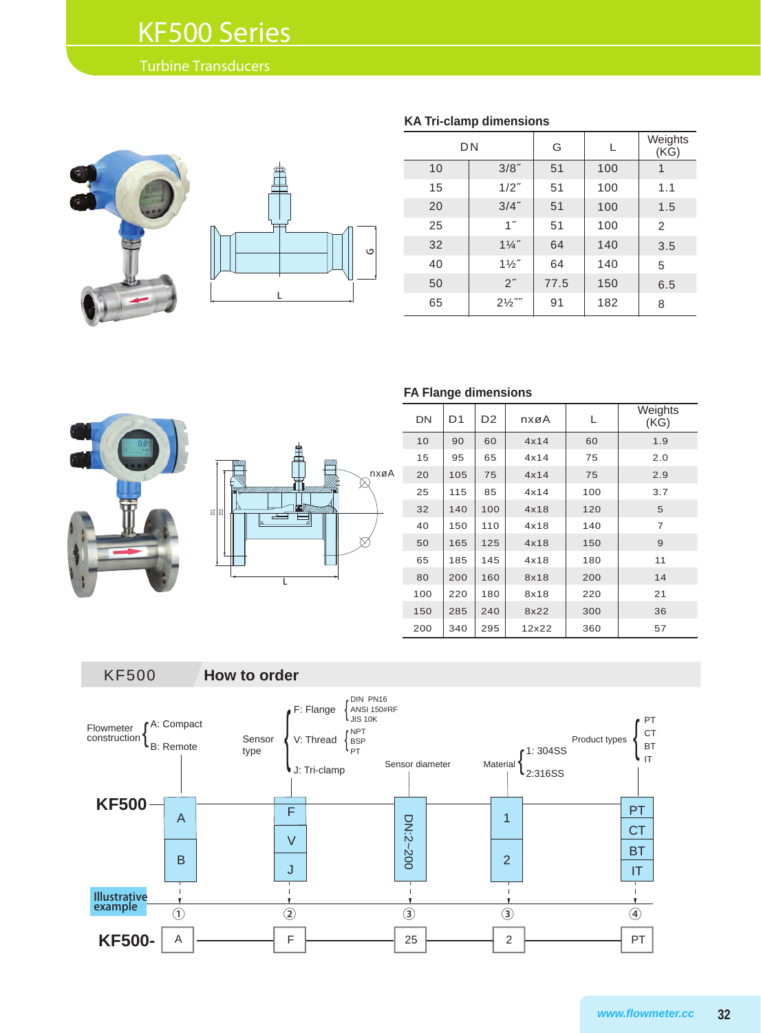## KF500 Series

#### Turbine Transducers





| <b>KA Tri-clamp dimensions</b> |                   |      |     |                 |  |  |  |  |  |
|--------------------------------|-------------------|------|-----|-----------------|--|--|--|--|--|
|                                | D <sub>N</sub>    | G    | L   | Weights<br>(KG) |  |  |  |  |  |
| 10                             | 3/8"              | 51   | 100 | 1               |  |  |  |  |  |
| 15                             | $1/2$ "           | 51   | 100 | 1.1             |  |  |  |  |  |
| 20                             | $3/4$ "           | 51   | 100 | 1.5             |  |  |  |  |  |
| 25                             | 1 <sup>''</sup>   | 51   | 100 | 2               |  |  |  |  |  |
| 32                             | $1\frac{1}{4}$    | 64   | 140 | 3.5             |  |  |  |  |  |
| 40                             | $1\frac{1}{2}$    | 64   | 140 | 5               |  |  |  |  |  |
| 50                             | 2"                | 77.5 | 150 | 6.5             |  |  |  |  |  |
| 65                             | $2\frac{1}{2}$ "" | 91   | 182 | 8               |  |  |  |  |  |





#### **FA Flange dimensions**

| DN  | D1  | D <sub>2</sub> | nxøA  | L   | Weights<br>(KG) |
|-----|-----|----------------|-------|-----|-----------------|
| 10  | 90  | 60             | 4x14  | 60  | 1.9             |
| 15  | 95  | 65             | 4x14  | 75  | 2.0             |
| 20  | 105 | 75             | 4x14  | 75  | 2.9             |
| 25  | 115 | 85             | 4x14  | 100 | 3.7             |
| 32  | 140 | 100            | 4x18  | 120 | 5               |
| 40  | 150 | 110            | 4x18  | 140 | $\overline{7}$  |
| 50  | 165 | 125            | 4x18  | 150 | 9               |
| 65  | 185 | 145            | 4x18  | 180 | 11              |
| 80  | 200 | 160            | 8x18  | 200 | 14              |
| 100 | 220 | 180            | 8x18  | 220 | 21              |
| 150 | 285 | 240            | 8x22  | 300 | 36              |
| 200 | 340 | 295            | 12x22 | 360 | 57              |

KF500 **How to order**

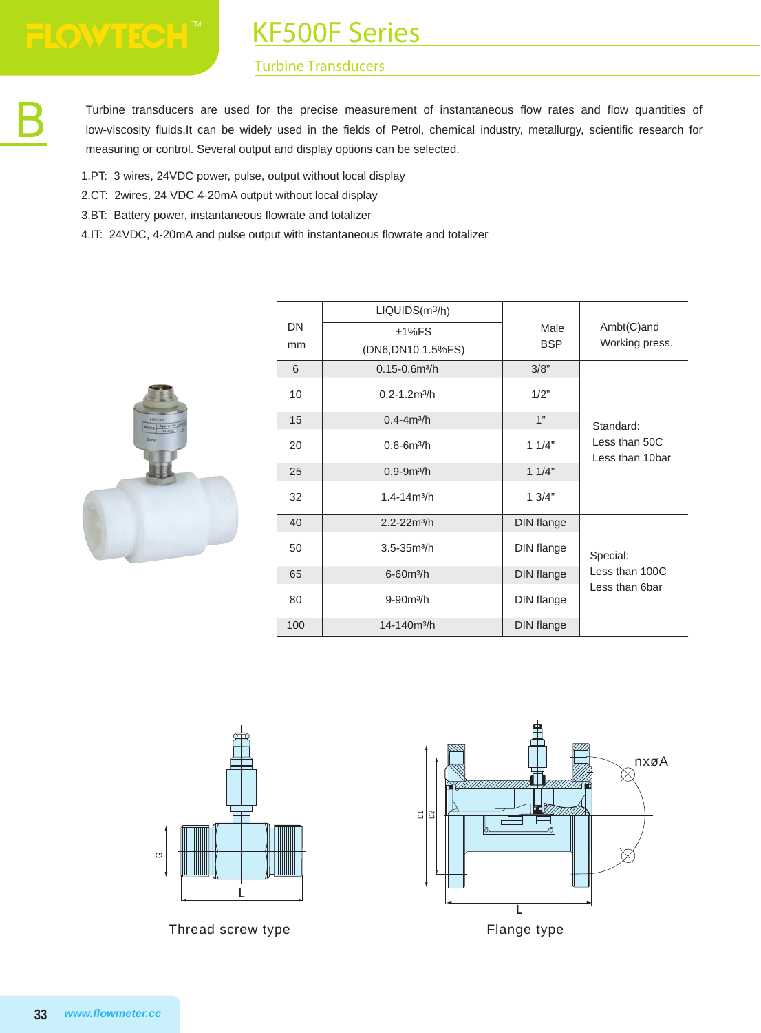KF500F Series

#### Turbine Transducers

Turbine transducers are used for the precise measurement of instantaneous flow rates and flow quantities of<br>low-viscosity fluids.It can be widely used in the fields of Petrol, chemical industry, metallurgy, scientific rese low-viscosity fluids.It can be widely used in the fields of Petrol, chemical industry, metallurgy, scientific research for measuring or control. Several output and display options can be selected.

- 1.PT: 3 wires, 24VDC power, pulse, output without local display
- 2.CT: 2wires, 24 VDC 4-20mA output without local display
- 3.BT: Battery power, instantaneous flowrate and totalizer
- 4.IT: 24VDC, 4-20mA and pulse output with instantaneous flowrate and totalizer



|     | LIQUIDS(m <sup>3</sup> /h)    |            |                                  |
|-----|-------------------------------|------------|----------------------------------|
| DN  | $±1\%FS$                      | Male       | Ambt(C)and                       |
| mm  | (DN6, DN10 1.5% FS)           | <b>BSP</b> | Working press.                   |
| 6   | $0.15 - 0.6m^3/h$             | 3/8"       |                                  |
| 10  | $0.2 - 1.2$ m <sup>3</sup> /h | 1/2"       |                                  |
| 15  | $0.4 - 4m^3/h$                | 1"         | Standard:                        |
| 20  | $0.6 - 6m^3/h$                | 11/4"      | Less than 50C<br>Less than 10bar |
| 25  | $0.9 - 9m^3/h$                | 11/4"      |                                  |
| 32  | $1.4 - 14m^3/h$               | 1.3/4"     |                                  |
| 40  | $2.2 - 22m^3/h$               | DIN flange |                                  |
| 50  | $3.5 - 35m3/h$                | DIN flange | Special:                         |
| 65  | $6 - 60m^3/h$                 | DIN flange | Less than 100C                   |
| 80  | $9 - 90m^3/h$                 | DIN flange | Less than 6bar                   |
| 100 | 14-140m <sup>3</sup> /h       | DIN flange |                                  |